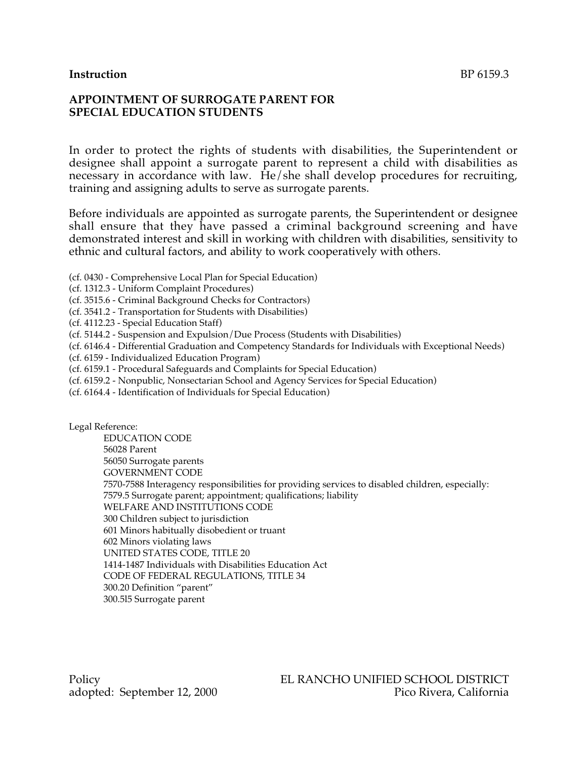### **Instruction** BP 6159.3

### **APPOINTMENT OF SURROGATE PARENT FOR SPECIAL EDUCATION STUDENTS**

In order to protect the rights of students with disabilities, the Superintendent or designee shall appoint a surrogate parent to represent a child with disabilities as necessary in accordance with law. He/she shall develop procedures for recruiting, training and assigning adults to serve as surrogate parents.

Before individuals are appointed as surrogate parents, the Superintendent or designee shall ensure that they have passed a criminal background screening and have demonstrated interest and skill in working with children with disabilities, sensitivity to ethnic and cultural factors, and ability to work cooperatively with others.

(cf. 0430 - Comprehensive Local Plan for Special Education)

(cf. 1312.3 - Uniform Complaint Procedures)

(cf. 3515.6 - Criminal Background Checks for Contractors)

- (cf. 3541.2 Transportation for Students with Disabilities)
- (cf. 4112.23 Special Education Staff)

(cf. 5144.2 - Suspension and Expulsion/Due Process (Students with Disabilities)

(cf. 6146.4 - Differential Graduation and Competency Standards for Individuals with Exceptional Needs)

(cf. 6159 - Individualized Education Program)

(cf. 6159.1 - Procedural Safeguards and Complaints for Special Education)

- (cf. 6159.2 Nonpublic, Nonsectarian School and Agency Services for Special Education)
- (cf. 6164.4 Identification of Individuals for Special Education)

Legal Reference:

EDUCATION CODE 56028 Parent 56050 Surrogate parents GOVERNMENT CODE 7570-7588 Interagency responsibilities for providing services to disabled children, especially: 7579.5 Surrogate parent; appointment; qualifications; liability WELFARE AND INSTITUTIONS CODE 300 Children subject to jurisdiction 601 Minors habitually disobedient or truant 602 Minors violating laws UNITED STATES CODE, TITLE 20 1414-1487 Individuals with Disabilities Education Act CODE OF FEDERAL REGULATIONS, TITLE 34 300.20 Definition "parent" 300.5l5 Surrogate parent

adopted: September 12, 2000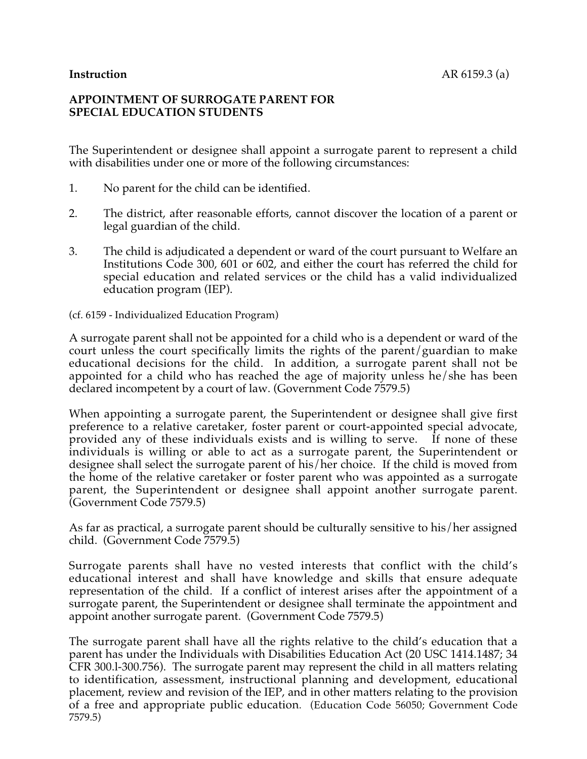# **APPOINTMENT OF SURROGATE PARENT FOR SPECIAL EDUCATION STUDENTS**

The Superintendent or designee shall appoint a surrogate parent to represent a child with disabilities under one or more of the following circumstances:

- 1. No parent for the child can be identified.
- 2. The district, after reasonable efforts, cannot discover the location of a parent or legal guardian of the child.
- 3. The child is adjudicated a dependent or ward of the court pursuant to Welfare an Institutions Code 300, 601 or 602, and either the court has referred the child for special education and related services or the child has a valid individualized education program (IEP).

(cf. 6159 - Individualized Education Program)

A surrogate parent shall not be appointed for a child who is a dependent or ward of the court unless the court specifically limits the rights of the parent/guardian to make educational decisions for the child. In addition, a surrogate parent shall not be appointed for a child who has reached the age of majority unless he/she has been declared incompetent by a court of law. (Government Code 7579.5)

When appointing a surrogate parent, the Superintendent or designee shall give first preference to a relative caretaker, foster parent or court-appointed special advocate, provided any of these individuals exists and is willing to serve. If none of these individuals is willing or able to act as a surrogate parent, the Superintendent or designee shall select the surrogate parent of his/her choice. If the child is moved from the home of the relative caretaker or foster parent who was appointed as a surrogate parent, the Superintendent or designee shall appoint another surrogate parent. (Government Code 7579.5)

As far as practical, a surrogate parent should be culturally sensitive to his/her assigned child. (Government Code 7579.5)

Surrogate parents shall have no vested interests that conflict with the child's educational interest and shall have knowledge and skills that ensure adequate representation of the child. If a conflict of interest arises after the appointment of a surrogate parent, the Superintendent or designee shall terminate the appointment and appoint another surrogate parent. (Government Code 7579.5)

The surrogate parent shall have all the rights relative to the child's education that a parent has under the Individuals with Disabilities Education Act (20 USC 1414.1487; 34 CFR 300.l-300.756). The surrogate parent may represent the child in all matters relating to identification, assessment, instructional planning and development, educational placement, review and revision of the IEP, and in other matters relating to the provision of a free and appropriate public education. (Education Code 56050; Government Code 7579.5)